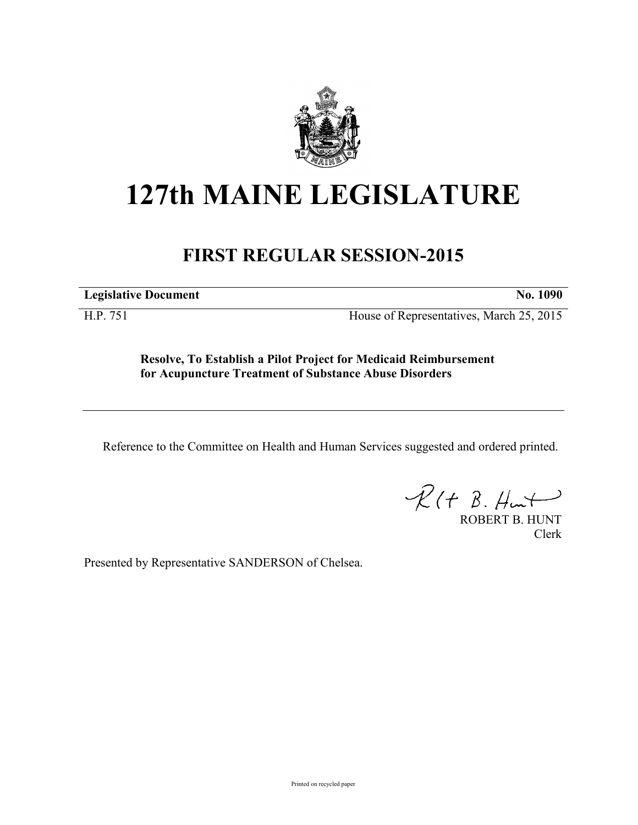

## **127th MAINE LEGISLATURE**

## **FIRST REGULAR SESSION-2015**

**Legislative Document No. 1090**

H.P. 751 House of Representatives, March 25, 2015

**Resolve, To Establish a Pilot Project for Medicaid Reimbursement for Acupuncture Treatment of Substance Abuse Disorders**

Reference to the Committee on Health and Human Services suggested and ordered printed.

 $\mathcal{R}(t \; \mathcal{B}, \#_{\mathsf{un}})$ 

ROBERT B. HUNT Clerk

Presented by Representative SANDERSON of Chelsea.